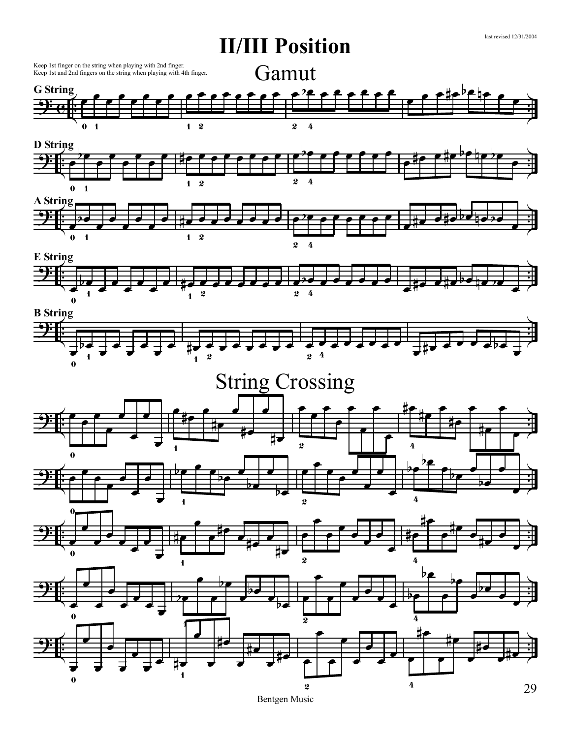

29

last revised 12/31/2004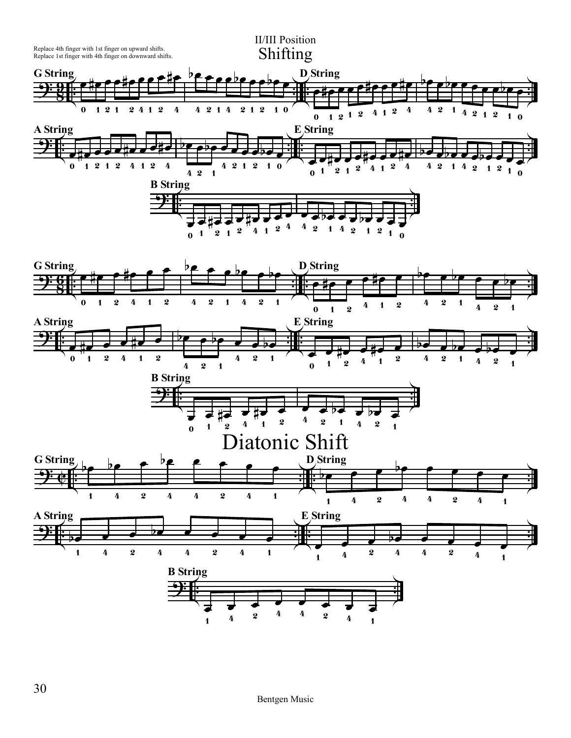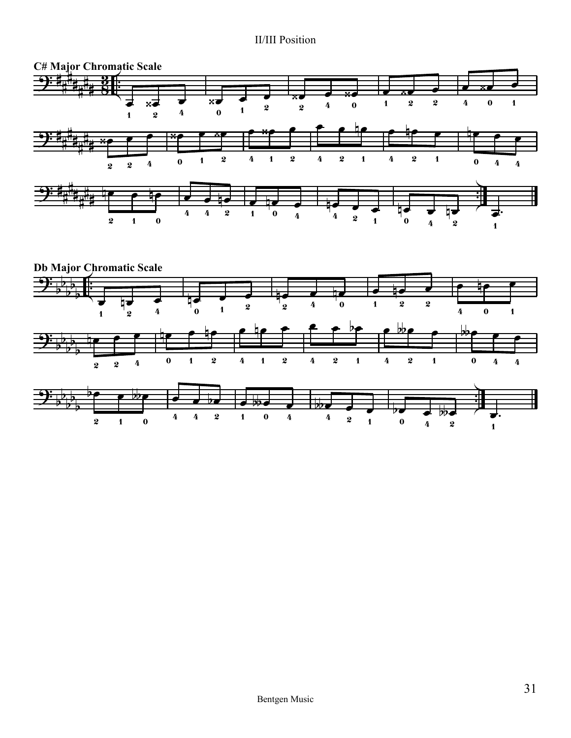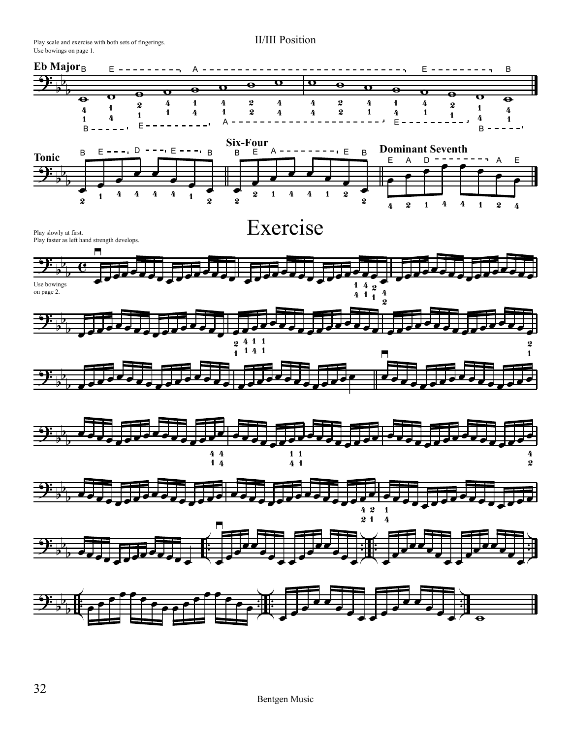Use bowings on page 1. Play scale and exercise with both sets of fingerings.

![](_page_3_Figure_2.jpeg)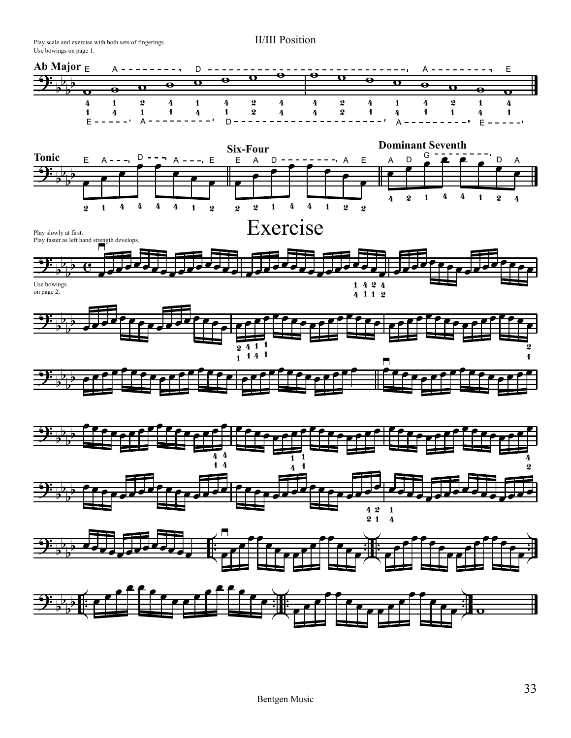Use bowings on page 1. Play scale and exercise with both sets of fingerings.

![](_page_4_Figure_2.jpeg)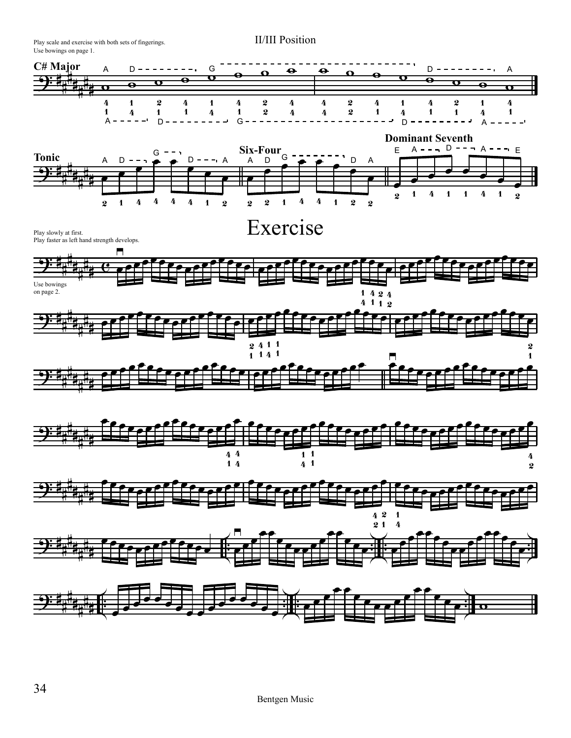Use bowings on page 1. Play scale and exercise with both sets of fingerings.

![](_page_5_Figure_2.jpeg)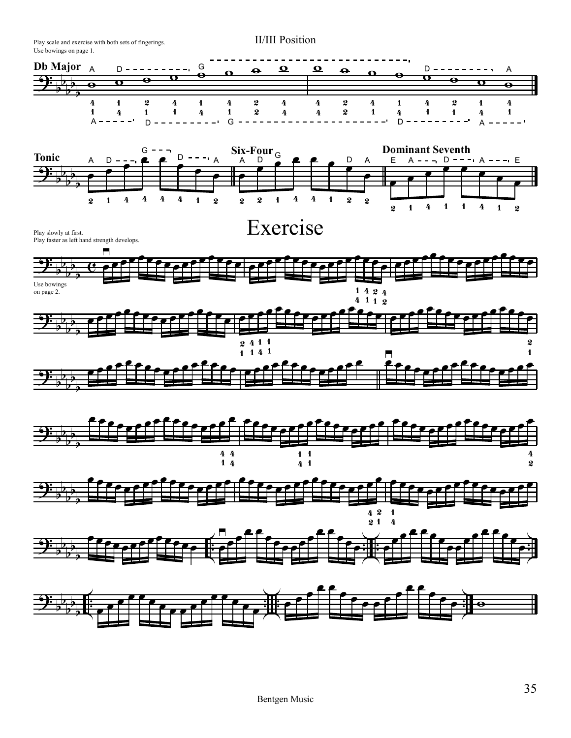![](_page_6_Figure_0.jpeg)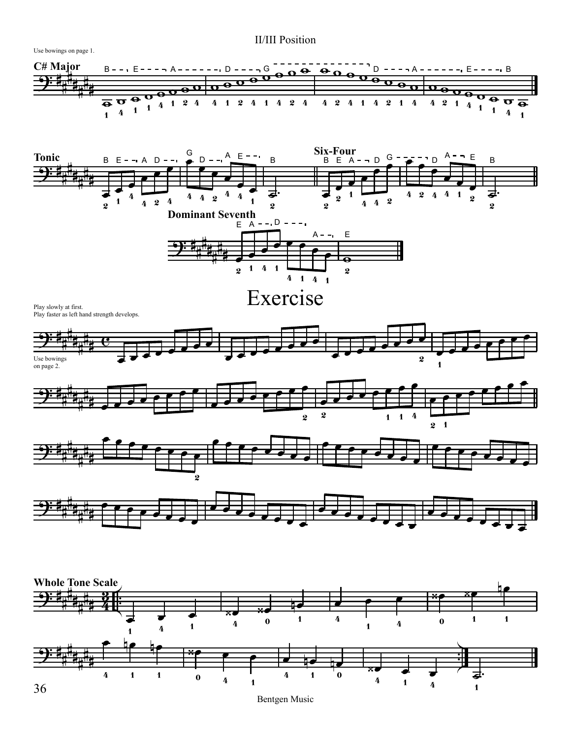![](_page_7_Figure_1.jpeg)